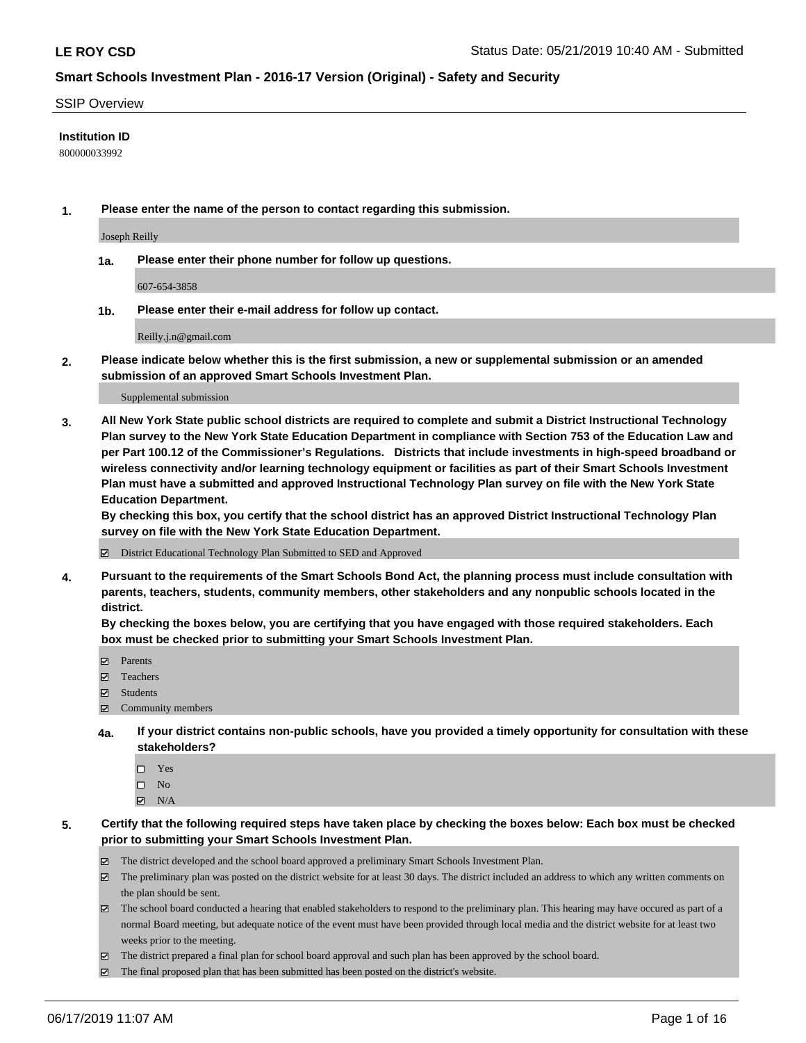#### SSIP Overview

#### **Institution ID**

800000033992

**1. Please enter the name of the person to contact regarding this submission.**

Joseph Reilly

**1a. Please enter their phone number for follow up questions.**

607-654-3858

**1b. Please enter their e-mail address for follow up contact.**

Reilly.j.n@gmail.com

**2. Please indicate below whether this is the first submission, a new or supplemental submission or an amended submission of an approved Smart Schools Investment Plan.**

#### Supplemental submission

**3. All New York State public school districts are required to complete and submit a District Instructional Technology Plan survey to the New York State Education Department in compliance with Section 753 of the Education Law and per Part 100.12 of the Commissioner's Regulations. Districts that include investments in high-speed broadband or wireless connectivity and/or learning technology equipment or facilities as part of their Smart Schools Investment Plan must have a submitted and approved Instructional Technology Plan survey on file with the New York State Education Department.** 

**By checking this box, you certify that the school district has an approved District Instructional Technology Plan survey on file with the New York State Education Department.**

District Educational Technology Plan Submitted to SED and Approved

**4. Pursuant to the requirements of the Smart Schools Bond Act, the planning process must include consultation with parents, teachers, students, community members, other stakeholders and any nonpublic schools located in the district.** 

**By checking the boxes below, you are certifying that you have engaged with those required stakeholders. Each box must be checked prior to submitting your Smart Schools Investment Plan.**

- Parents
- Teachers
- Students
- Community members
- **4a. If your district contains non-public schools, have you provided a timely opportunity for consultation with these stakeholders?**
	- □ Yes
	- $\square$  No
	- $N/A$
- **5. Certify that the following required steps have taken place by checking the boxes below: Each box must be checked prior to submitting your Smart Schools Investment Plan.**
	- The district developed and the school board approved a preliminary Smart Schools Investment Plan.
	- $\boxtimes$  The preliminary plan was posted on the district website for at least 30 days. The district included an address to which any written comments on the plan should be sent.
	- $\boxtimes$  The school board conducted a hearing that enabled stakeholders to respond to the preliminary plan. This hearing may have occured as part of a normal Board meeting, but adequate notice of the event must have been provided through local media and the district website for at least two weeks prior to the meeting.
	- The district prepared a final plan for school board approval and such plan has been approved by the school board.
	- $\boxtimes$  The final proposed plan that has been submitted has been posted on the district's website.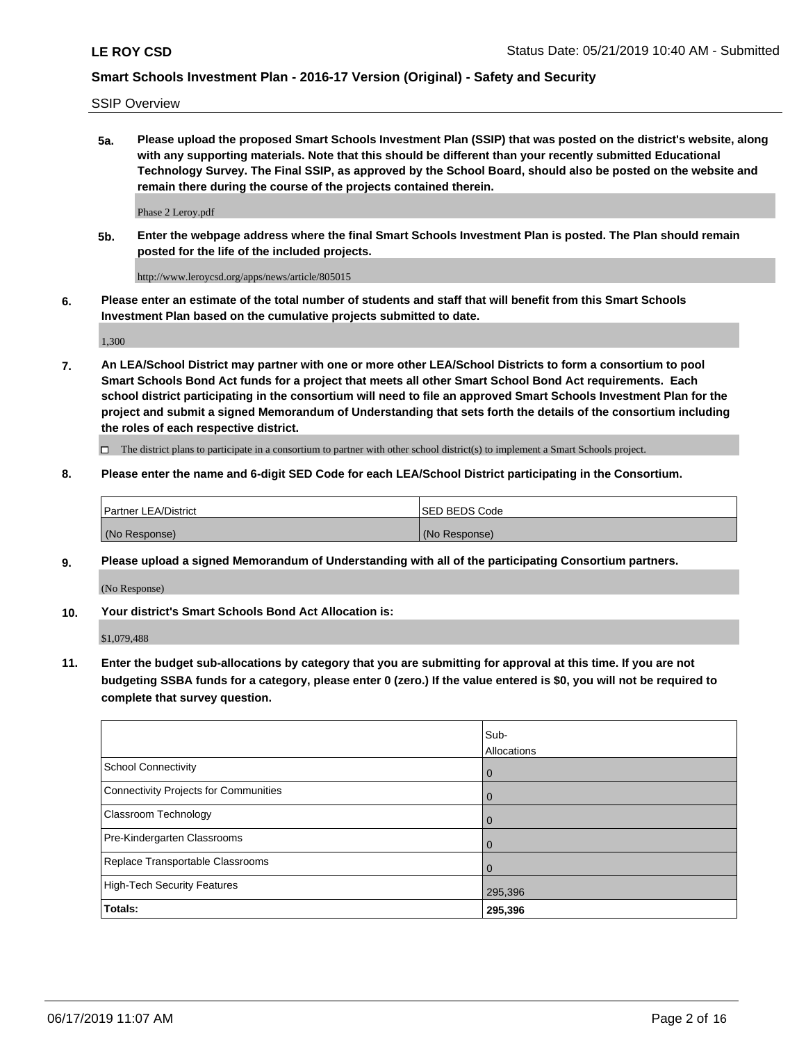SSIP Overview

**5a. Please upload the proposed Smart Schools Investment Plan (SSIP) that was posted on the district's website, along with any supporting materials. Note that this should be different than your recently submitted Educational Technology Survey. The Final SSIP, as approved by the School Board, should also be posted on the website and remain there during the course of the projects contained therein.**

Phase 2 Leroy.pdf

**5b. Enter the webpage address where the final Smart Schools Investment Plan is posted. The Plan should remain posted for the life of the included projects.**

http://www.leroycsd.org/apps/news/article/805015

**6. Please enter an estimate of the total number of students and staff that will benefit from this Smart Schools Investment Plan based on the cumulative projects submitted to date.**

1,300

**7. An LEA/School District may partner with one or more other LEA/School Districts to form a consortium to pool Smart Schools Bond Act funds for a project that meets all other Smart School Bond Act requirements. Each school district participating in the consortium will need to file an approved Smart Schools Investment Plan for the project and submit a signed Memorandum of Understanding that sets forth the details of the consortium including the roles of each respective district.**

 $\Box$  The district plans to participate in a consortium to partner with other school district(s) to implement a Smart Schools project.

#### **8. Please enter the name and 6-digit SED Code for each LEA/School District participating in the Consortium.**

| Partner LEA/District | <b>ISED BEDS Code</b> |
|----------------------|-----------------------|
| (No Response)        | (No Response)         |

#### **9. Please upload a signed Memorandum of Understanding with all of the participating Consortium partners.**

(No Response)

**10. Your district's Smart Schools Bond Act Allocation is:**

\$1,079,488

**11. Enter the budget sub-allocations by category that you are submitting for approval at this time. If you are not budgeting SSBA funds for a category, please enter 0 (zero.) If the value entered is \$0, you will not be required to complete that survey question.**

|                                       | Sub-<br>Allocations |
|---------------------------------------|---------------------|
| <b>School Connectivity</b>            | $\mathbf 0$         |
| Connectivity Projects for Communities | $\overline{0}$      |
| <b>Classroom Technology</b>           | 0                   |
| Pre-Kindergarten Classrooms           | $\Omega$            |
| Replace Transportable Classrooms      | $\Omega$            |
| High-Tech Security Features           | 295,396             |
| Totals:                               | 295,396             |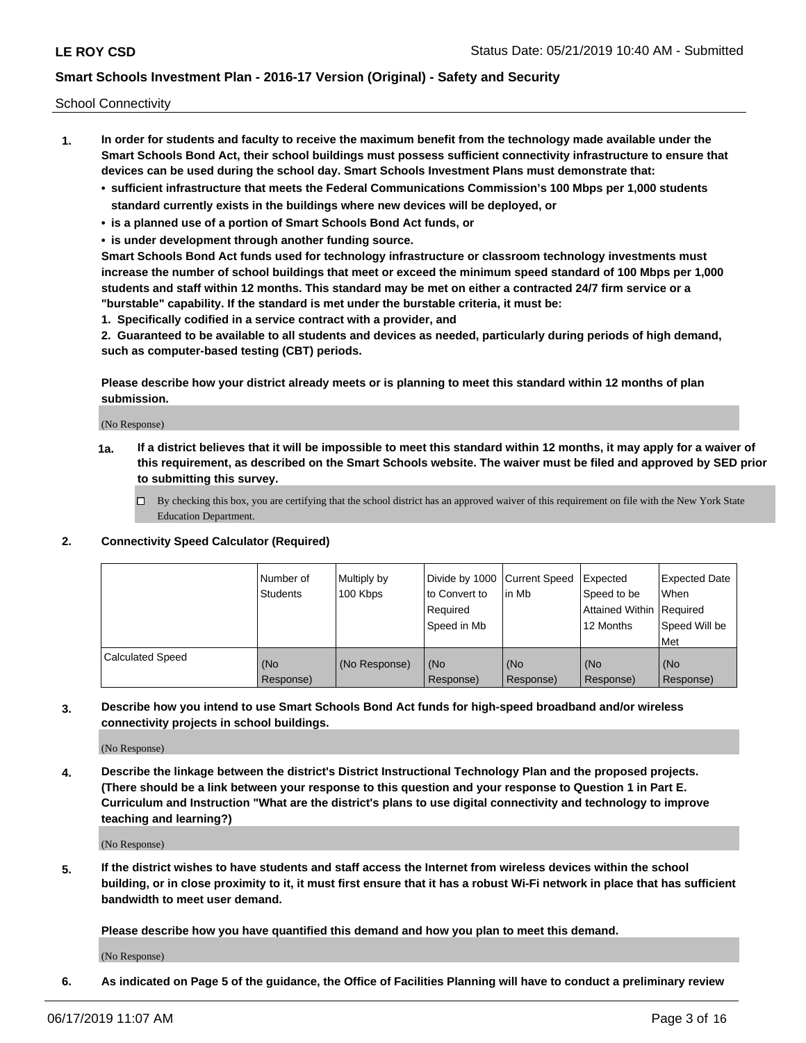School Connectivity

- **1. In order for students and faculty to receive the maximum benefit from the technology made available under the Smart Schools Bond Act, their school buildings must possess sufficient connectivity infrastructure to ensure that devices can be used during the school day. Smart Schools Investment Plans must demonstrate that:**
	- **• sufficient infrastructure that meets the Federal Communications Commission's 100 Mbps per 1,000 students standard currently exists in the buildings where new devices will be deployed, or**
	- **• is a planned use of a portion of Smart Schools Bond Act funds, or**
	- **• is under development through another funding source.**

**Smart Schools Bond Act funds used for technology infrastructure or classroom technology investments must increase the number of school buildings that meet or exceed the minimum speed standard of 100 Mbps per 1,000 students and staff within 12 months. This standard may be met on either a contracted 24/7 firm service or a "burstable" capability. If the standard is met under the burstable criteria, it must be:**

**1. Specifically codified in a service contract with a provider, and**

**2. Guaranteed to be available to all students and devices as needed, particularly during periods of high demand, such as computer-based testing (CBT) periods.**

**Please describe how your district already meets or is planning to meet this standard within 12 months of plan submission.**

(No Response)

**1a. If a district believes that it will be impossible to meet this standard within 12 months, it may apply for a waiver of this requirement, as described on the Smart Schools website. The waiver must be filed and approved by SED prior to submitting this survey.**

 $\Box$  By checking this box, you are certifying that the school district has an approved waiver of this requirement on file with the New York State Education Department.

#### **2. Connectivity Speed Calculator (Required)**

|                         | l Number of<br>Students | Multiply by<br>100 Kbps | Divide by 1000 Current Speed<br>to Convert to<br>Required<br>l Speed in Mb | lin Mb           | Expected<br>Speed to be<br>Attained Within   Required<br>12 Months | <b>Expected Date</b><br>When<br>Speed Will be<br>Met |
|-------------------------|-------------------------|-------------------------|----------------------------------------------------------------------------|------------------|--------------------------------------------------------------------|------------------------------------------------------|
| <b>Calculated Speed</b> | (No<br>Response)        | (No Response)           | (No<br>Response)                                                           | (No<br>Response) | (No<br>Response)                                                   | (No<br>Response)                                     |

**3. Describe how you intend to use Smart Schools Bond Act funds for high-speed broadband and/or wireless connectivity projects in school buildings.**

(No Response)

**4. Describe the linkage between the district's District Instructional Technology Plan and the proposed projects. (There should be a link between your response to this question and your response to Question 1 in Part E. Curriculum and Instruction "What are the district's plans to use digital connectivity and technology to improve teaching and learning?)**

(No Response)

**5. If the district wishes to have students and staff access the Internet from wireless devices within the school building, or in close proximity to it, it must first ensure that it has a robust Wi-Fi network in place that has sufficient bandwidth to meet user demand.**

**Please describe how you have quantified this demand and how you plan to meet this demand.**

(No Response)

**6. As indicated on Page 5 of the guidance, the Office of Facilities Planning will have to conduct a preliminary review**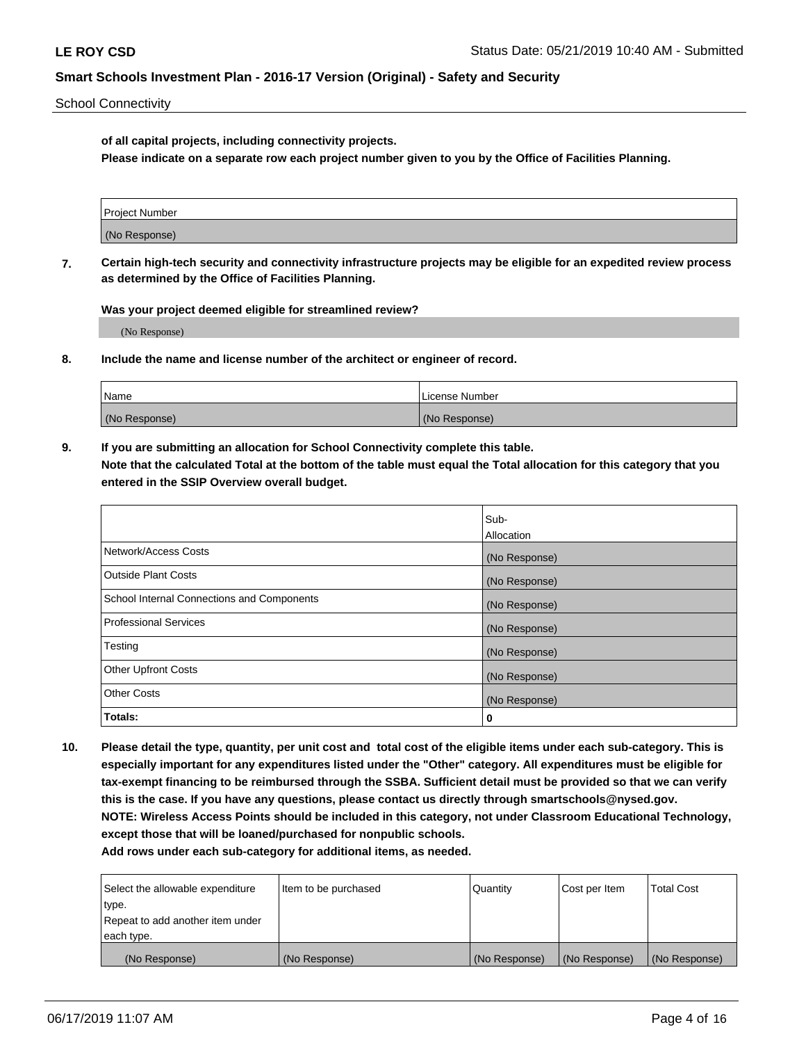School Connectivity

**of all capital projects, including connectivity projects.**

**Please indicate on a separate row each project number given to you by the Office of Facilities Planning.**

| Project Number |  |
|----------------|--|
|                |  |
|                |  |
|                |  |
| (No Response)  |  |
|                |  |
|                |  |
|                |  |

**7. Certain high-tech security and connectivity infrastructure projects may be eligible for an expedited review process as determined by the Office of Facilities Planning.**

**Was your project deemed eligible for streamlined review?**

(No Response)

**8. Include the name and license number of the architect or engineer of record.**

| Name          | License Number |
|---------------|----------------|
| (No Response) | (No Response)  |

**9. If you are submitting an allocation for School Connectivity complete this table. Note that the calculated Total at the bottom of the table must equal the Total allocation for this category that you entered in the SSIP Overview overall budget.** 

|                                            | Sub-              |
|--------------------------------------------|-------------------|
|                                            | <b>Allocation</b> |
| Network/Access Costs                       | (No Response)     |
| <b>Outside Plant Costs</b>                 | (No Response)     |
| School Internal Connections and Components | (No Response)     |
| <b>Professional Services</b>               | (No Response)     |
| Testing                                    | (No Response)     |
| <b>Other Upfront Costs</b>                 | (No Response)     |
| <b>Other Costs</b>                         | (No Response)     |
| Totals:                                    | 0                 |

**10. Please detail the type, quantity, per unit cost and total cost of the eligible items under each sub-category. This is especially important for any expenditures listed under the "Other" category. All expenditures must be eligible for tax-exempt financing to be reimbursed through the SSBA. Sufficient detail must be provided so that we can verify this is the case. If you have any questions, please contact us directly through smartschools@nysed.gov. NOTE: Wireless Access Points should be included in this category, not under Classroom Educational Technology, except those that will be loaned/purchased for nonpublic schools.**

| Select the allowable expenditure | Item to be purchased | Quantity      | <b>Cost per Item</b> | <b>Total Cost</b> |
|----------------------------------|----------------------|---------------|----------------------|-------------------|
| type.                            |                      |               |                      |                   |
| Repeat to add another item under |                      |               |                      |                   |
| each type.                       |                      |               |                      |                   |
| (No Response)                    | (No Response)        | (No Response) | (No Response)        | (No Response)     |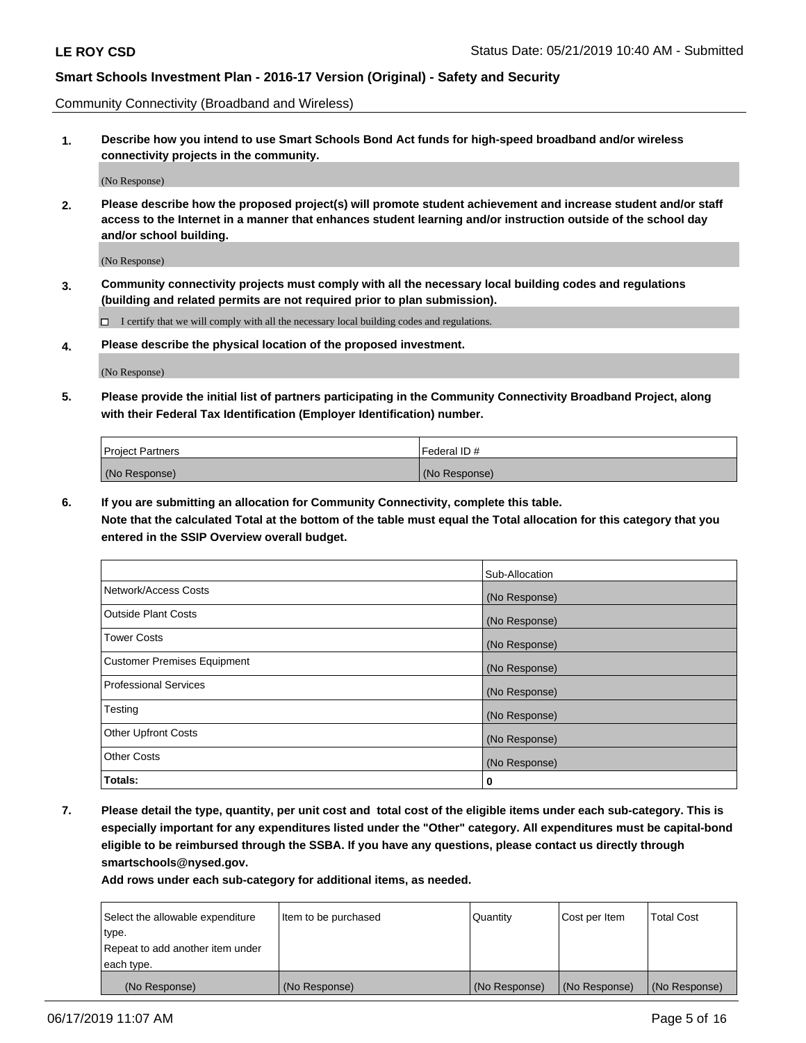Community Connectivity (Broadband and Wireless)

**1. Describe how you intend to use Smart Schools Bond Act funds for high-speed broadband and/or wireless connectivity projects in the community.**

(No Response)

**2. Please describe how the proposed project(s) will promote student achievement and increase student and/or staff access to the Internet in a manner that enhances student learning and/or instruction outside of the school day and/or school building.**

(No Response)

**3. Community connectivity projects must comply with all the necessary local building codes and regulations (building and related permits are not required prior to plan submission).**

 $\Box$  I certify that we will comply with all the necessary local building codes and regulations.

**4. Please describe the physical location of the proposed investment.**

(No Response)

**5. Please provide the initial list of partners participating in the Community Connectivity Broadband Project, along with their Federal Tax Identification (Employer Identification) number.**

| <b>Project Partners</b> | <sup>I</sup> Federal ID # |
|-------------------------|---------------------------|
| (No Response)           | (No Response)             |

**6. If you are submitting an allocation for Community Connectivity, complete this table.**

**Note that the calculated Total at the bottom of the table must equal the Total allocation for this category that you entered in the SSIP Overview overall budget.**

|                                    | Sub-Allocation |
|------------------------------------|----------------|
| Network/Access Costs               | (No Response)  |
| <b>Outside Plant Costs</b>         | (No Response)  |
| <b>Tower Costs</b>                 | (No Response)  |
| <b>Customer Premises Equipment</b> | (No Response)  |
| <b>Professional Services</b>       | (No Response)  |
| Testing                            | (No Response)  |
| <b>Other Upfront Costs</b>         | (No Response)  |
| <b>Other Costs</b>                 | (No Response)  |
| Totals:                            | 0              |

**7. Please detail the type, quantity, per unit cost and total cost of the eligible items under each sub-category. This is especially important for any expenditures listed under the "Other" category. All expenditures must be capital-bond eligible to be reimbursed through the SSBA. If you have any questions, please contact us directly through smartschools@nysed.gov.**

| Select the allowable expenditure | Item to be purchased | l Quantitv    | Cost per Item | <b>Total Cost</b> |
|----------------------------------|----------------------|---------------|---------------|-------------------|
| type.                            |                      |               |               |                   |
| Repeat to add another item under |                      |               |               |                   |
| each type.                       |                      |               |               |                   |
| (No Response)                    | (No Response)        | (No Response) | (No Response) | (No Response)     |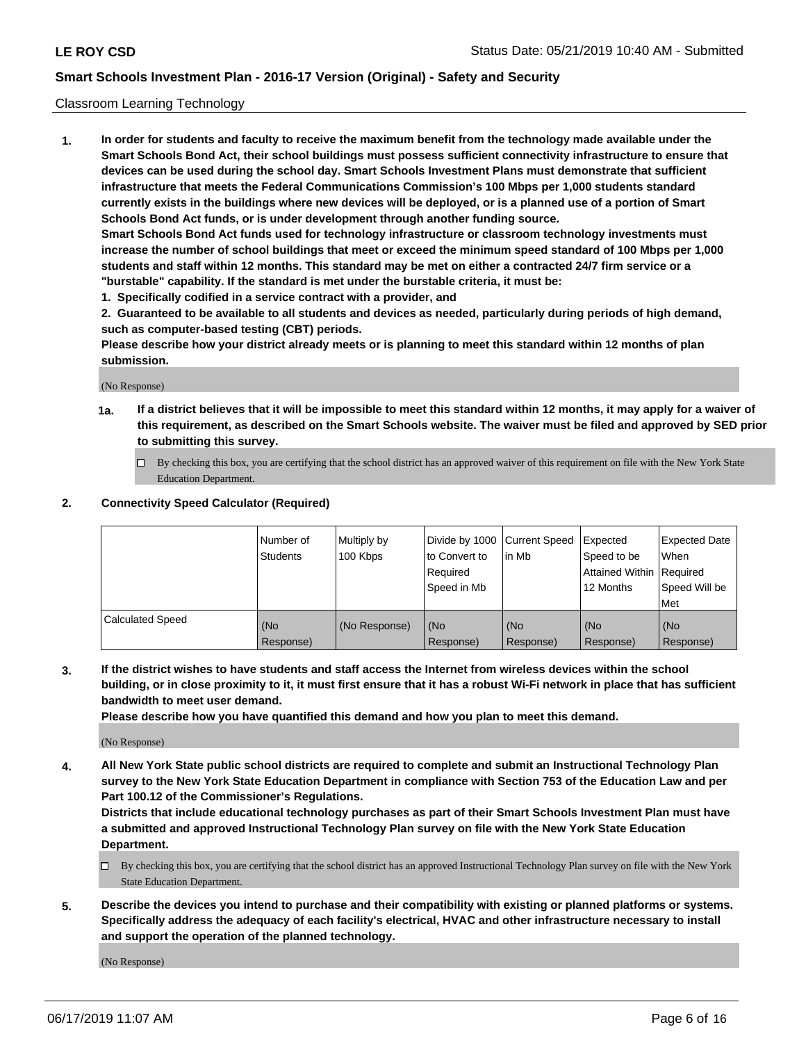#### Classroom Learning Technology

**1. In order for students and faculty to receive the maximum benefit from the technology made available under the Smart Schools Bond Act, their school buildings must possess sufficient connectivity infrastructure to ensure that devices can be used during the school day. Smart Schools Investment Plans must demonstrate that sufficient infrastructure that meets the Federal Communications Commission's 100 Mbps per 1,000 students standard currently exists in the buildings where new devices will be deployed, or is a planned use of a portion of Smart Schools Bond Act funds, or is under development through another funding source. Smart Schools Bond Act funds used for technology infrastructure or classroom technology investments must increase the number of school buildings that meet or exceed the minimum speed standard of 100 Mbps per 1,000 students and staff within 12 months. This standard may be met on either a contracted 24/7 firm service or a**

**"burstable" capability. If the standard is met under the burstable criteria, it must be:**

**1. Specifically codified in a service contract with a provider, and**

**2. Guaranteed to be available to all students and devices as needed, particularly during periods of high demand, such as computer-based testing (CBT) periods.**

**Please describe how your district already meets or is planning to meet this standard within 12 months of plan submission.**

(No Response)

- **1a. If a district believes that it will be impossible to meet this standard within 12 months, it may apply for a waiver of this requirement, as described on the Smart Schools website. The waiver must be filed and approved by SED prior to submitting this survey.**
	- By checking this box, you are certifying that the school district has an approved waiver of this requirement on file with the New York State Education Department.

#### **2. Connectivity Speed Calculator (Required)**

|                         | I Number of<br>Students | Multiply by<br>100 Kbps | to Convert to<br>Required<br>Speed in Mb | Divide by 1000 Current Speed Expected<br>lin Mb | Speed to be<br>Attained Within Required<br>12 Months | Expected Date<br>When<br>Speed Will be<br>Met |
|-------------------------|-------------------------|-------------------------|------------------------------------------|-------------------------------------------------|------------------------------------------------------|-----------------------------------------------|
| <b>Calculated Speed</b> | (No<br>Response)        | (No Response)           | (No<br>Response)                         | (No<br>Response)                                | (No<br>Response)                                     | (No<br>Response)                              |

**3. If the district wishes to have students and staff access the Internet from wireless devices within the school building, or in close proximity to it, it must first ensure that it has a robust Wi-Fi network in place that has sufficient bandwidth to meet user demand.**

**Please describe how you have quantified this demand and how you plan to meet this demand.**

(No Response)

**4. All New York State public school districts are required to complete and submit an Instructional Technology Plan survey to the New York State Education Department in compliance with Section 753 of the Education Law and per Part 100.12 of the Commissioner's Regulations.**

**Districts that include educational technology purchases as part of their Smart Schools Investment Plan must have a submitted and approved Instructional Technology Plan survey on file with the New York State Education Department.**

- $\Box$  By checking this box, you are certifying that the school district has an approved Instructional Technology Plan survey on file with the New York State Education Department.
- **5. Describe the devices you intend to purchase and their compatibility with existing or planned platforms or systems. Specifically address the adequacy of each facility's electrical, HVAC and other infrastructure necessary to install and support the operation of the planned technology.**

(No Response)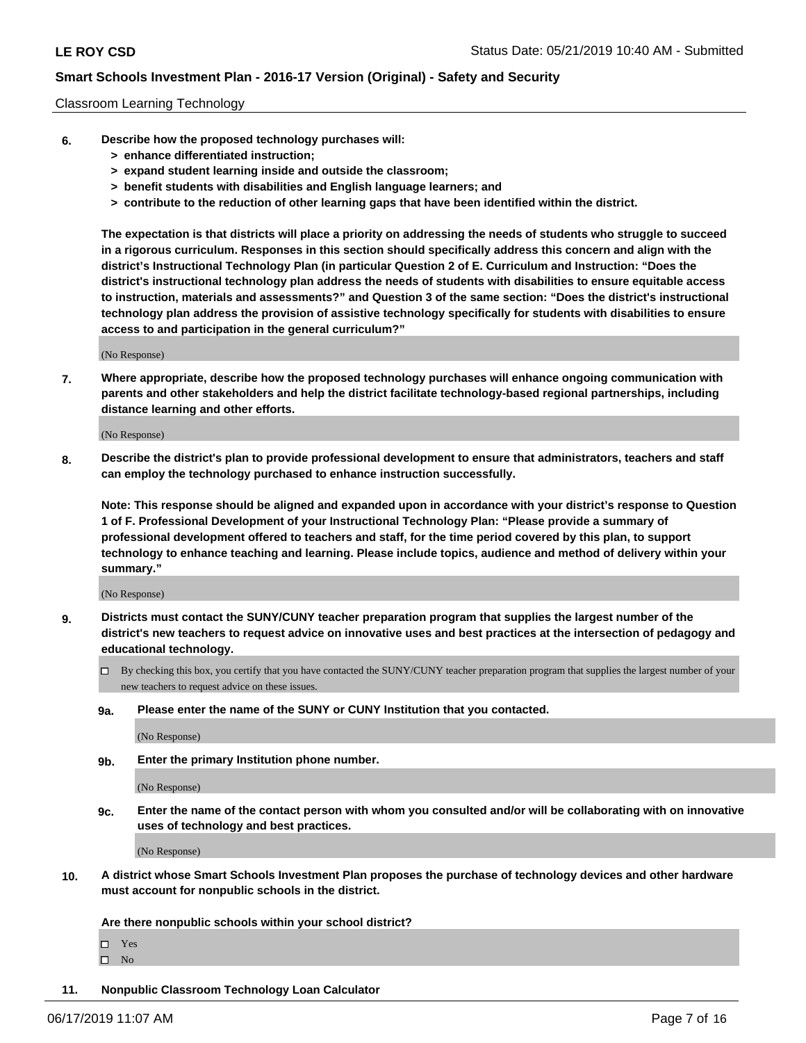#### Classroom Learning Technology

- **6. Describe how the proposed technology purchases will:**
	- **> enhance differentiated instruction;**
	- **> expand student learning inside and outside the classroom;**
	- **> benefit students with disabilities and English language learners; and**
	- **> contribute to the reduction of other learning gaps that have been identified within the district.**

**The expectation is that districts will place a priority on addressing the needs of students who struggle to succeed in a rigorous curriculum. Responses in this section should specifically address this concern and align with the district's Instructional Technology Plan (in particular Question 2 of E. Curriculum and Instruction: "Does the district's instructional technology plan address the needs of students with disabilities to ensure equitable access to instruction, materials and assessments?" and Question 3 of the same section: "Does the district's instructional technology plan address the provision of assistive technology specifically for students with disabilities to ensure access to and participation in the general curriculum?"**

(No Response)

**7. Where appropriate, describe how the proposed technology purchases will enhance ongoing communication with parents and other stakeholders and help the district facilitate technology-based regional partnerships, including distance learning and other efforts.**

(No Response)

**8. Describe the district's plan to provide professional development to ensure that administrators, teachers and staff can employ the technology purchased to enhance instruction successfully.**

**Note: This response should be aligned and expanded upon in accordance with your district's response to Question 1 of F. Professional Development of your Instructional Technology Plan: "Please provide a summary of professional development offered to teachers and staff, for the time period covered by this plan, to support technology to enhance teaching and learning. Please include topics, audience and method of delivery within your summary."**

(No Response)

- **9. Districts must contact the SUNY/CUNY teacher preparation program that supplies the largest number of the district's new teachers to request advice on innovative uses and best practices at the intersection of pedagogy and educational technology.**
	- By checking this box, you certify that you have contacted the SUNY/CUNY teacher preparation program that supplies the largest number of your new teachers to request advice on these issues.
	- **9a. Please enter the name of the SUNY or CUNY Institution that you contacted.**

(No Response)

**9b. Enter the primary Institution phone number.**

(No Response)

**9c. Enter the name of the contact person with whom you consulted and/or will be collaborating with on innovative uses of technology and best practices.**

(No Response)

**10. A district whose Smart Schools Investment Plan proposes the purchase of technology devices and other hardware must account for nonpublic schools in the district.**

**Are there nonpublic schools within your school district?**

Yes

 $\square$  No

**11. Nonpublic Classroom Technology Loan Calculator**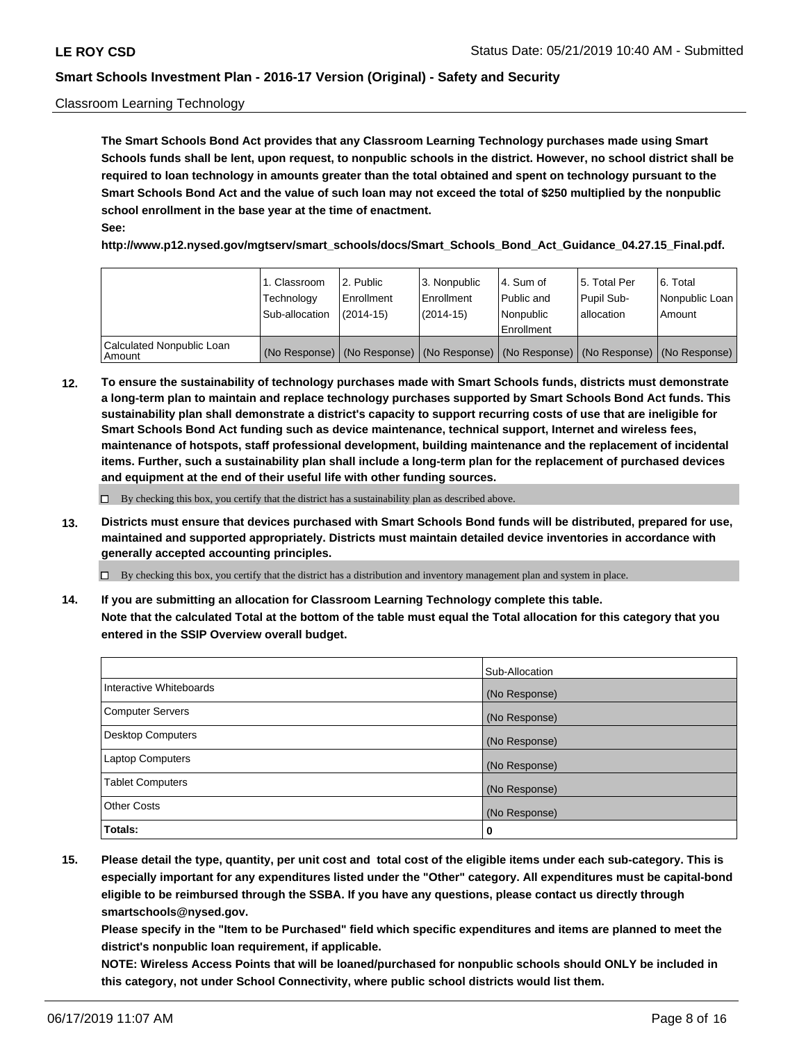#### Classroom Learning Technology

**The Smart Schools Bond Act provides that any Classroom Learning Technology purchases made using Smart Schools funds shall be lent, upon request, to nonpublic schools in the district. However, no school district shall be required to loan technology in amounts greater than the total obtained and spent on technology pursuant to the Smart Schools Bond Act and the value of such loan may not exceed the total of \$250 multiplied by the nonpublic school enrollment in the base year at the time of enactment. See:**

**http://www.p12.nysed.gov/mgtserv/smart\_schools/docs/Smart\_Schools\_Bond\_Act\_Guidance\_04.27.15\_Final.pdf.**

|                                       | 1. Classroom<br>Technology<br>Sub-allocation | 2. Public<br>l Enrollment<br>$(2014-15)$ | l 3. Nonpublic<br>l Enrollment<br>$(2014 - 15)$ | l 4. Sum of<br>Public and<br>l Nonpublic<br>Enrollment                                        | 15. Total Per<br>Pupil Sub-<br>l allocation | l 6. Total<br>Nonpublic Loan<br>Amount |
|---------------------------------------|----------------------------------------------|------------------------------------------|-------------------------------------------------|-----------------------------------------------------------------------------------------------|---------------------------------------------|----------------------------------------|
| Calculated Nonpublic Loan<br>l Amount |                                              |                                          |                                                 | (No Response)   (No Response)   (No Response)   (No Response)   (No Response)   (No Response) |                                             |                                        |

**12. To ensure the sustainability of technology purchases made with Smart Schools funds, districts must demonstrate a long-term plan to maintain and replace technology purchases supported by Smart Schools Bond Act funds. This sustainability plan shall demonstrate a district's capacity to support recurring costs of use that are ineligible for Smart Schools Bond Act funding such as device maintenance, technical support, Internet and wireless fees, maintenance of hotspots, staff professional development, building maintenance and the replacement of incidental items. Further, such a sustainability plan shall include a long-term plan for the replacement of purchased devices and equipment at the end of their useful life with other funding sources.**

 $\Box$  By checking this box, you certify that the district has a sustainability plan as described above.

**13. Districts must ensure that devices purchased with Smart Schools Bond funds will be distributed, prepared for use, maintained and supported appropriately. Districts must maintain detailed device inventories in accordance with generally accepted accounting principles.**

By checking this box, you certify that the district has a distribution and inventory management plan and system in place.

**14. If you are submitting an allocation for Classroom Learning Technology complete this table. Note that the calculated Total at the bottom of the table must equal the Total allocation for this category that you entered in the SSIP Overview overall budget.**

|                          | Sub-Allocation |
|--------------------------|----------------|
| Interactive Whiteboards  | (No Response)  |
| <b>Computer Servers</b>  | (No Response)  |
| <b>Desktop Computers</b> | (No Response)  |
| <b>Laptop Computers</b>  | (No Response)  |
| <b>Tablet Computers</b>  | (No Response)  |
| <b>Other Costs</b>       | (No Response)  |
| Totals:                  | 0              |

**15. Please detail the type, quantity, per unit cost and total cost of the eligible items under each sub-category. This is especially important for any expenditures listed under the "Other" category. All expenditures must be capital-bond eligible to be reimbursed through the SSBA. If you have any questions, please contact us directly through smartschools@nysed.gov.**

**Please specify in the "Item to be Purchased" field which specific expenditures and items are planned to meet the district's nonpublic loan requirement, if applicable.**

**NOTE: Wireless Access Points that will be loaned/purchased for nonpublic schools should ONLY be included in this category, not under School Connectivity, where public school districts would list them.**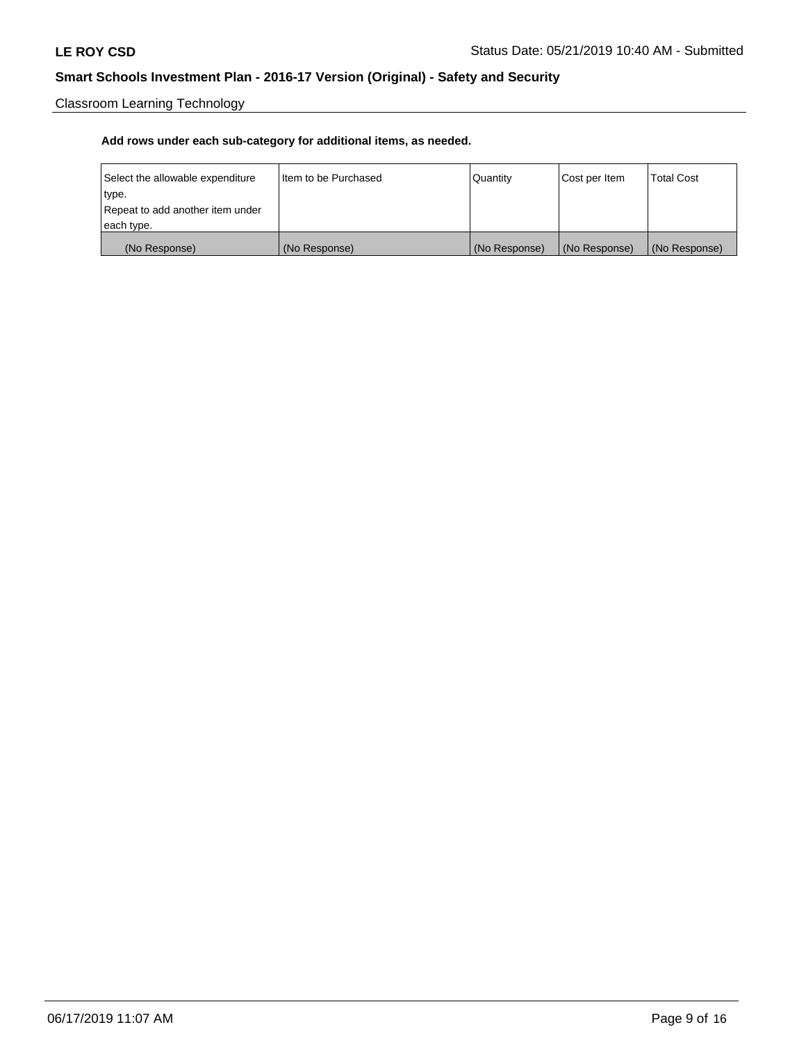Classroom Learning Technology

| Select the allowable expenditure | Iltem to be Purchased | Quantity      | Cost per Item | <b>Total Cost</b> |
|----------------------------------|-----------------------|---------------|---------------|-------------------|
| type.                            |                       |               |               |                   |
| Repeat to add another item under |                       |               |               |                   |
| each type.                       |                       |               |               |                   |
| (No Response)                    | (No Response)         | (No Response) | (No Response) | (No Response)     |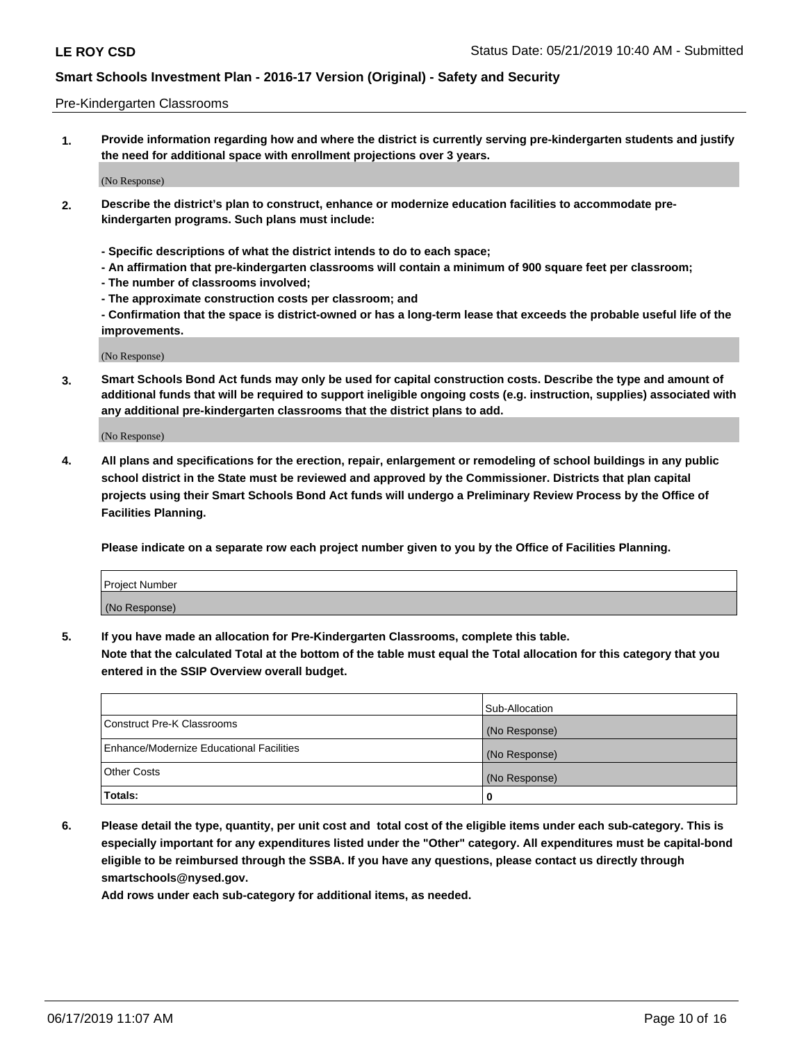#### Pre-Kindergarten Classrooms

**1. Provide information regarding how and where the district is currently serving pre-kindergarten students and justify the need for additional space with enrollment projections over 3 years.**

(No Response)

- **2. Describe the district's plan to construct, enhance or modernize education facilities to accommodate prekindergarten programs. Such plans must include:**
	- **Specific descriptions of what the district intends to do to each space;**
	- **An affirmation that pre-kindergarten classrooms will contain a minimum of 900 square feet per classroom;**
	- **The number of classrooms involved;**
	- **The approximate construction costs per classroom; and**
	- **Confirmation that the space is district-owned or has a long-term lease that exceeds the probable useful life of the improvements.**

(No Response)

**3. Smart Schools Bond Act funds may only be used for capital construction costs. Describe the type and amount of additional funds that will be required to support ineligible ongoing costs (e.g. instruction, supplies) associated with any additional pre-kindergarten classrooms that the district plans to add.**

(No Response)

**4. All plans and specifications for the erection, repair, enlargement or remodeling of school buildings in any public school district in the State must be reviewed and approved by the Commissioner. Districts that plan capital projects using their Smart Schools Bond Act funds will undergo a Preliminary Review Process by the Office of Facilities Planning.**

**Please indicate on a separate row each project number given to you by the Office of Facilities Planning.**

| Project Number |  |
|----------------|--|
| (No Response)  |  |
|                |  |

**5. If you have made an allocation for Pre-Kindergarten Classrooms, complete this table.**

**Note that the calculated Total at the bottom of the table must equal the Total allocation for this category that you entered in the SSIP Overview overall budget.**

|                                          | Sub-Allocation |
|------------------------------------------|----------------|
| Construct Pre-K Classrooms               | (No Response)  |
| Enhance/Modernize Educational Facilities | (No Response)  |
| <b>Other Costs</b>                       | (No Response)  |
| Totals:                                  | 0              |

**6. Please detail the type, quantity, per unit cost and total cost of the eligible items under each sub-category. This is especially important for any expenditures listed under the "Other" category. All expenditures must be capital-bond eligible to be reimbursed through the SSBA. If you have any questions, please contact us directly through smartschools@nysed.gov.**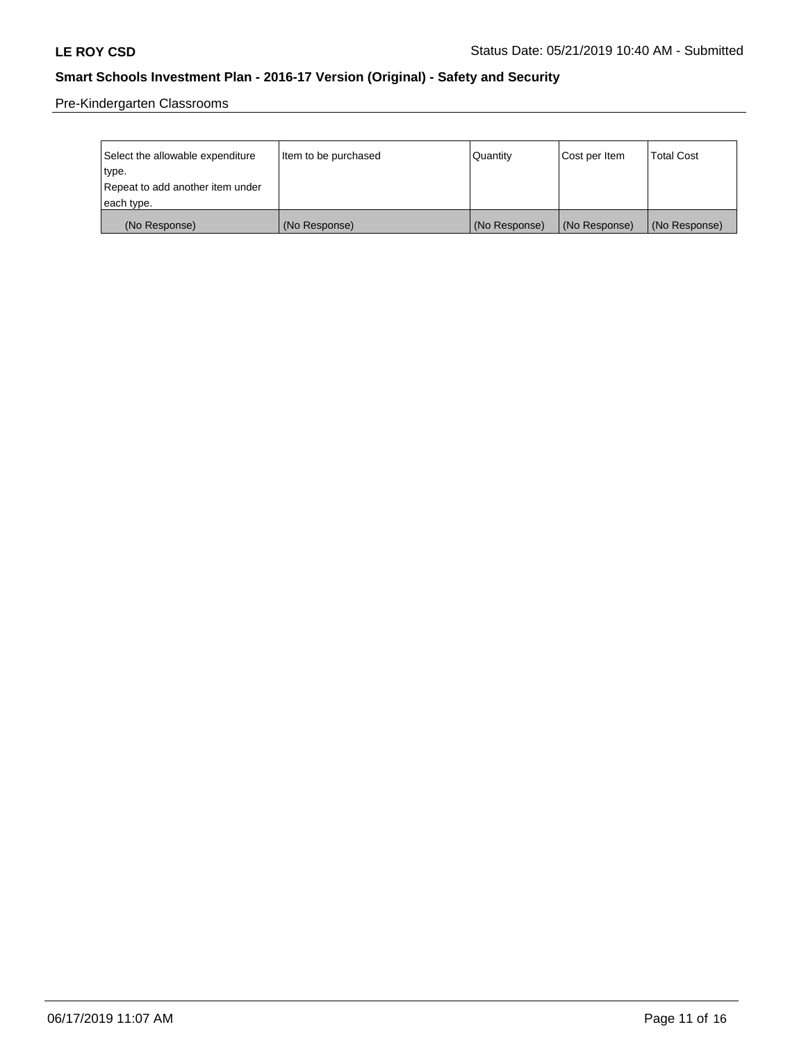Pre-Kindergarten Classrooms

| Select the allowable expenditure | Item to be purchased | Quantity      | Cost per Item | <b>Total Cost</b> |
|----------------------------------|----------------------|---------------|---------------|-------------------|
| type.                            |                      |               |               |                   |
| Repeat to add another item under |                      |               |               |                   |
| each type.                       |                      |               |               |                   |
| (No Response)                    | (No Response)        | (No Response) | (No Response) | (No Response)     |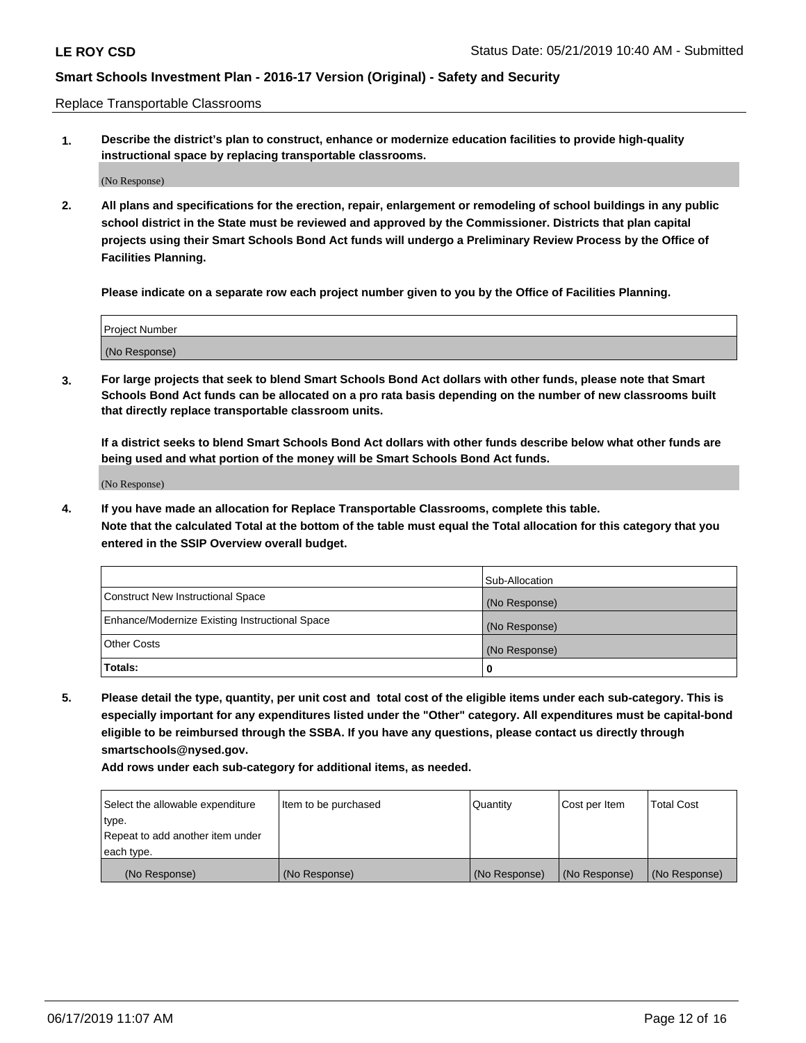Replace Transportable Classrooms

**1. Describe the district's plan to construct, enhance or modernize education facilities to provide high-quality instructional space by replacing transportable classrooms.**

(No Response)

**2. All plans and specifications for the erection, repair, enlargement or remodeling of school buildings in any public school district in the State must be reviewed and approved by the Commissioner. Districts that plan capital projects using their Smart Schools Bond Act funds will undergo a Preliminary Review Process by the Office of Facilities Planning.**

**Please indicate on a separate row each project number given to you by the Office of Facilities Planning.**

| Project Number |  |
|----------------|--|
|                |  |
|                |  |
|                |  |
|                |  |
| (No Response)  |  |
|                |  |
|                |  |
|                |  |

**3. For large projects that seek to blend Smart Schools Bond Act dollars with other funds, please note that Smart Schools Bond Act funds can be allocated on a pro rata basis depending on the number of new classrooms built that directly replace transportable classroom units.**

**If a district seeks to blend Smart Schools Bond Act dollars with other funds describe below what other funds are being used and what portion of the money will be Smart Schools Bond Act funds.**

(No Response)

**4. If you have made an allocation for Replace Transportable Classrooms, complete this table. Note that the calculated Total at the bottom of the table must equal the Total allocation for this category that you entered in the SSIP Overview overall budget.**

|                                                | Sub-Allocation |
|------------------------------------------------|----------------|
| Construct New Instructional Space              | (No Response)  |
| Enhance/Modernize Existing Instructional Space | (No Response)  |
| <b>Other Costs</b>                             | (No Response)  |
| Totals:                                        | 0              |

**5. Please detail the type, quantity, per unit cost and total cost of the eligible items under each sub-category. This is especially important for any expenditures listed under the "Other" category. All expenditures must be capital-bond eligible to be reimbursed through the SSBA. If you have any questions, please contact us directly through smartschools@nysed.gov.**

| Select the allowable expenditure | Item to be purchased | Quantity      | Cost per Item | Total Cost    |
|----------------------------------|----------------------|---------------|---------------|---------------|
| type.                            |                      |               |               |               |
| Repeat to add another item under |                      |               |               |               |
| each type.                       |                      |               |               |               |
| (No Response)                    | (No Response)        | (No Response) | (No Response) | (No Response) |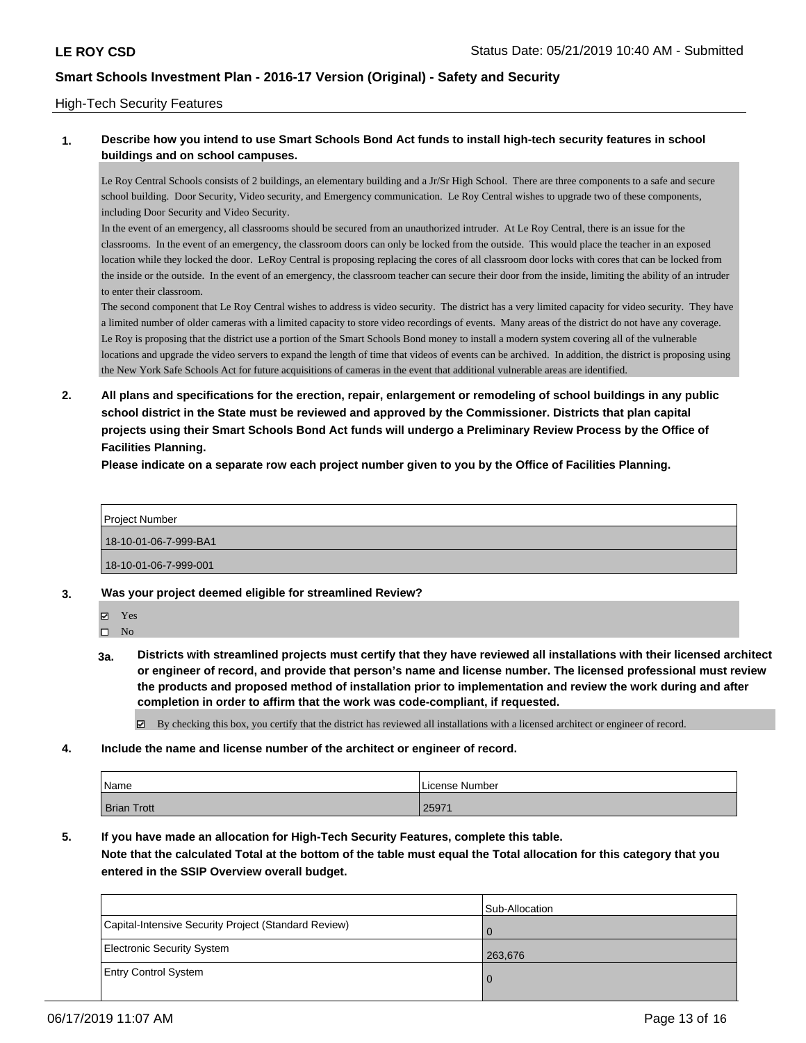#### High-Tech Security Features

#### **1. Describe how you intend to use Smart Schools Bond Act funds to install high-tech security features in school buildings and on school campuses.**

Le Roy Central Schools consists of 2 buildings, an elementary building and a Jr/Sr High School. There are three components to a safe and secure school building. Door Security, Video security, and Emergency communication. Le Roy Central wishes to upgrade two of these components, including Door Security and Video Security.

In the event of an emergency, all classrooms should be secured from an unauthorized intruder. At Le Roy Central, there is an issue for the classrooms. In the event of an emergency, the classroom doors can only be locked from the outside. This would place the teacher in an exposed location while they locked the door. LeRoy Central is proposing replacing the cores of all classroom door locks with cores that can be locked from the inside or the outside. In the event of an emergency, the classroom teacher can secure their door from the inside, limiting the ability of an intruder to enter their classroom.

The second component that Le Roy Central wishes to address is video security. The district has a very limited capacity for video security. They have a limited number of older cameras with a limited capacity to store video recordings of events. Many areas of the district do not have any coverage. Le Roy is proposing that the district use a portion of the Smart Schools Bond money to install a modern system covering all of the vulnerable locations and upgrade the video servers to expand the length of time that videos of events can be archived. In addition, the district is proposing using the New York Safe Schools Act for future acquisitions of cameras in the event that additional vulnerable areas are identified.

**2. All plans and specifications for the erection, repair, enlargement or remodeling of school buildings in any public school district in the State must be reviewed and approved by the Commissioner. Districts that plan capital projects using their Smart Schools Bond Act funds will undergo a Preliminary Review Process by the Office of Facilities Planning.** 

**Please indicate on a separate row each project number given to you by the Office of Facilities Planning.**

| <b>Project Number</b> |
|-----------------------|
| 18-10-01-06-7-999-BA1 |
| 18-10-01-06-7-999-001 |

**3. Was your project deemed eligible for streamlined Review?**

Yes

 $\hfill \square$  No

**3a. Districts with streamlined projects must certify that they have reviewed all installations with their licensed architect or engineer of record, and provide that person's name and license number. The licensed professional must review the products and proposed method of installation prior to implementation and review the work during and after completion in order to affirm that the work was code-compliant, if requested.**

By checking this box, you certify that the district has reviewed all installations with a licensed architect or engineer of record.

**4. Include the name and license number of the architect or engineer of record.**

| Name               | License Number |
|--------------------|----------------|
| <b>Brian Trott</b> | 25971          |

**5. If you have made an allocation for High-Tech Security Features, complete this table.**

**Note that the calculated Total at the bottom of the table must equal the Total allocation for this category that you entered in the SSIP Overview overall budget.**

|                                                      | Sub-Allocation |
|------------------------------------------------------|----------------|
| Capital-Intensive Security Project (Standard Review) | O              |
| Electronic Security System                           | 263,676        |
| <b>Entry Control System</b>                          | $\Omega$       |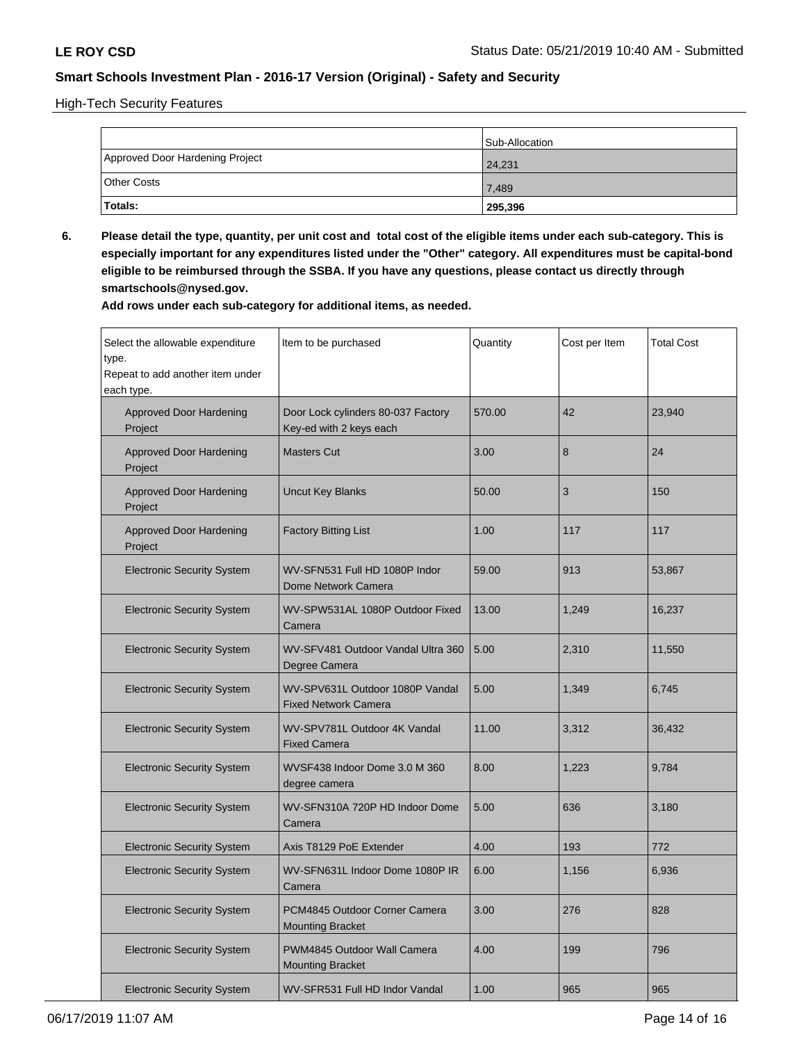High-Tech Security Features

|                                 | Sub-Allocation |
|---------------------------------|----------------|
| Approved Door Hardening Project | 24,231         |
| <b>Other Costs</b>              | 7,489          |
| <b>Totals:</b>                  | 295,396        |

**6. Please detail the type, quantity, per unit cost and total cost of the eligible items under each sub-category. This is especially important for any expenditures listed under the "Other" category. All expenditures must be capital-bond eligible to be reimbursed through the SSBA. If you have any questions, please contact us directly through smartschools@nysed.gov.**

| Select the allowable expenditure<br>type.<br>Repeat to add another item under<br>each type. | Item to be purchased                                           | Quantity | Cost per Item | <b>Total Cost</b> |
|---------------------------------------------------------------------------------------------|----------------------------------------------------------------|----------|---------------|-------------------|
| Approved Door Hardening<br>Project                                                          | Door Lock cylinders 80-037 Factory<br>Key-ed with 2 keys each  | 570.00   | 42            | 23,940            |
| <b>Approved Door Hardening</b><br>Project                                                   | <b>Masters Cut</b>                                             | 3.00     | 8             | 24                |
| <b>Approved Door Hardening</b><br>Project                                                   | <b>Uncut Key Blanks</b>                                        | 50.00    | 3             | 150               |
| <b>Approved Door Hardening</b><br>Project                                                   | <b>Factory Bitting List</b>                                    | 1.00     | 117           | 117               |
| <b>Electronic Security System</b>                                                           | WV-SFN531 Full HD 1080P Indor<br>Dome Network Camera           | 59.00    | 913           | 53,867            |
| <b>Electronic Security System</b>                                                           | WV-SPW531AL 1080P Outdoor Fixed<br>Camera                      | 13.00    | 1,249         | 16,237            |
| <b>Electronic Security System</b>                                                           | WV-SFV481 Outdoor Vandal Ultra 360<br>Degree Camera            | 5.00     | 2,310         | 11,550            |
| <b>Electronic Security System</b>                                                           | WV-SPV631L Outdoor 1080P Vandal<br><b>Fixed Network Camera</b> | 5.00     | 1,349         | 6,745             |
| <b>Electronic Security System</b>                                                           | WV-SPV781L Outdoor 4K Vandal<br><b>Fixed Camera</b>            | 11.00    | 3,312         | 36,432            |
| <b>Electronic Security System</b>                                                           | WVSF438 Indoor Dome 3.0 M 360<br>degree camera                 | 8.00     | 1,223         | 9,784             |
| <b>Electronic Security System</b>                                                           | WV-SFN310A 720P HD Indoor Dome<br>Camera                       | 5.00     | 636           | 3,180             |
| <b>Electronic Security System</b>                                                           | Axis T8129 PoE Extender                                        | 4.00     | 193           | 772               |
| <b>Electronic Security System</b>                                                           | WV-SFN631L Indoor Dome 1080P IR<br>Camera                      | 6.00     | 1,156         | 6,936             |
| <b>Electronic Security System</b>                                                           | PCM4845 Outdoor Corner Camera<br><b>Mounting Bracket</b>       | 3.00     | 276           | 828               |
| <b>Electronic Security System</b>                                                           | PWM4845 Outdoor Wall Camera<br><b>Mounting Bracket</b>         | 4.00     | 199           | 796               |
| <b>Electronic Security System</b>                                                           | WV-SFR531 Full HD Indor Vandal                                 | 1.00     | 965           | 965               |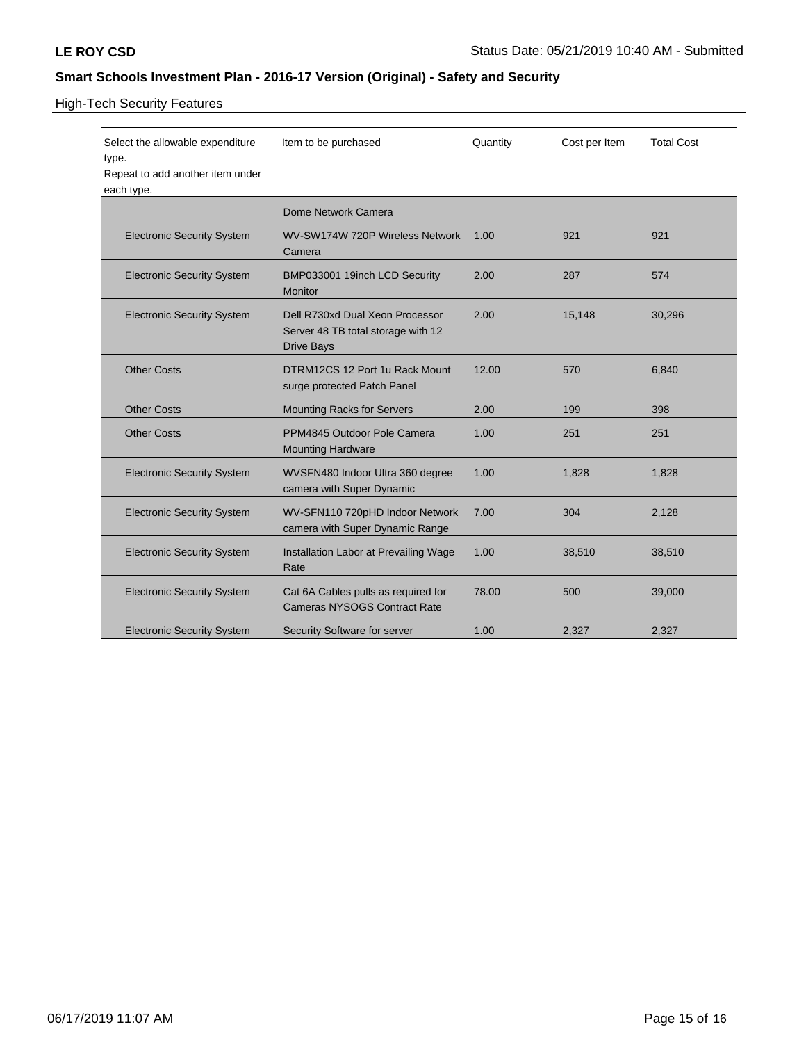High-Tech Security Features

| Select the allowable expenditure<br>type.<br>Repeat to add another item under<br>each type. | Item to be purchased                                                                       | Quantity | Cost per Item | <b>Total Cost</b> |
|---------------------------------------------------------------------------------------------|--------------------------------------------------------------------------------------------|----------|---------------|-------------------|
|                                                                                             | Dome Network Camera                                                                        |          |               |                   |
| <b>Electronic Security System</b>                                                           | WV-SW174W 720P Wireless Network<br>Camera                                                  | 1.00     | 921           | 921               |
| <b>Electronic Security System</b>                                                           | BMP033001 19inch LCD Security<br><b>Monitor</b>                                            | 2.00     | 287           | 574               |
| <b>Electronic Security System</b>                                                           | Dell R730xd Dual Xeon Processor<br>Server 48 TB total storage with 12<br><b>Drive Bays</b> | 2.00     | 15,148        | 30,296            |
| <b>Other Costs</b>                                                                          | DTRM12CS 12 Port 1u Rack Mount<br>surge protected Patch Panel                              | 12.00    | 570           | 6,840             |
| <b>Other Costs</b>                                                                          | <b>Mounting Racks for Servers</b>                                                          | 2.00     | 199           | 398               |
| <b>Other Costs</b>                                                                          | PPM4845 Outdoor Pole Camera<br><b>Mounting Hardware</b>                                    | 1.00     | 251           | 251               |
| <b>Electronic Security System</b>                                                           | WVSFN480 Indoor Ultra 360 degree<br>camera with Super Dynamic                              | 1.00     | 1,828         | 1.828             |
| <b>Electronic Security System</b>                                                           | WV-SFN110 720pHD Indoor Network<br>camera with Super Dynamic Range                         | 7.00     | 304           | 2,128             |
| <b>Electronic Security System</b>                                                           | Installation Labor at Prevailing Wage<br>Rate                                              | 1.00     | 38,510        | 38,510            |
| <b>Electronic Security System</b>                                                           | Cat 6A Cables pulls as required for<br><b>Cameras NYSOGS Contract Rate</b>                 | 78.00    | 500           | 39,000            |
| <b>Electronic Security System</b>                                                           | Security Software for server                                                               | 1.00     | 2,327         | 2,327             |